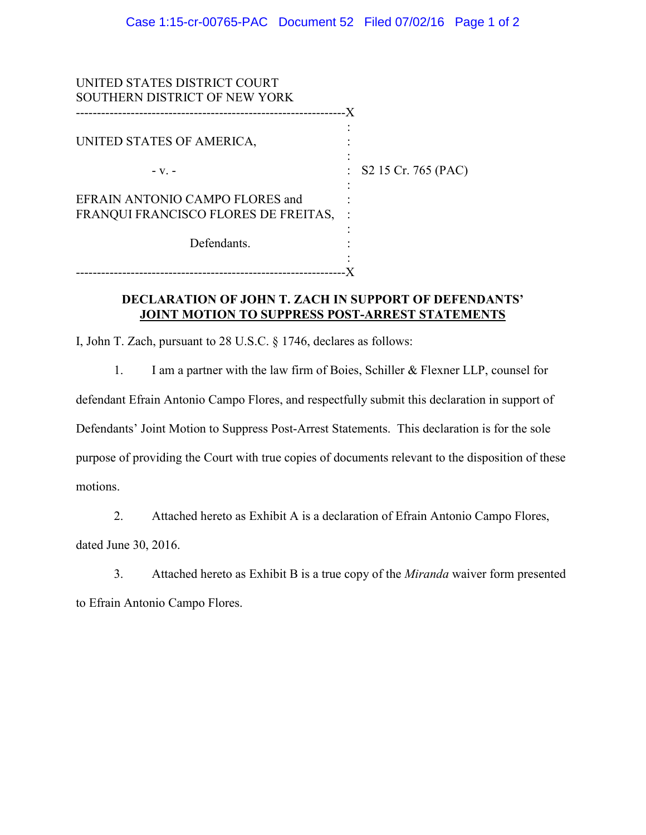| UNITED STATES DISTRICT COURT<br><b>SOUTHERN DISTRICT OF NEW YORK</b> |    |                                  |
|----------------------------------------------------------------------|----|----------------------------------|
| UNITED STATES OF AMERICA,                                            | .X |                                  |
| $-V_{-}$ –                                                           |    | $\therefore$ S2 15 Cr. 765 (PAC) |
| EFRAIN ANTONIO CAMPO FLORES and                                      |    |                                  |
| FRANQUI FRANCISCO FLORES DE FREITAS,                                 |    |                                  |
| Defendants.                                                          |    |                                  |
|                                                                      |    |                                  |

### **DECLARATION OF JOHN T. ZACH IN SUPPORT OF DEFENDANTS' JOINT MOTION TO SUPPRESS POST-ARREST STATEMENTS**

I, John T. Zach, pursuant to 28 U.S.C. § 1746, declares as follows:

1. I am a partner with the law firm of Boies, Schiller & Flexner LLP, counsel for

defendant Efrain Antonio Campo Flores, and respectfully submit this declaration in support of

Defendants' Joint Motion to Suppress Post-Arrest Statements. This declaration is for the sole

purpose of providing the Court with true copies of documents relevant to the disposition of these motions.

2. Attached hereto as Exhibit A is a declaration of Efrain Antonio Campo Flores,

dated June 30, 2016.

3. Attached hereto as Exhibit B is a true copy of the *Miranda* waiver form presented to Efrain Antonio Campo Flores.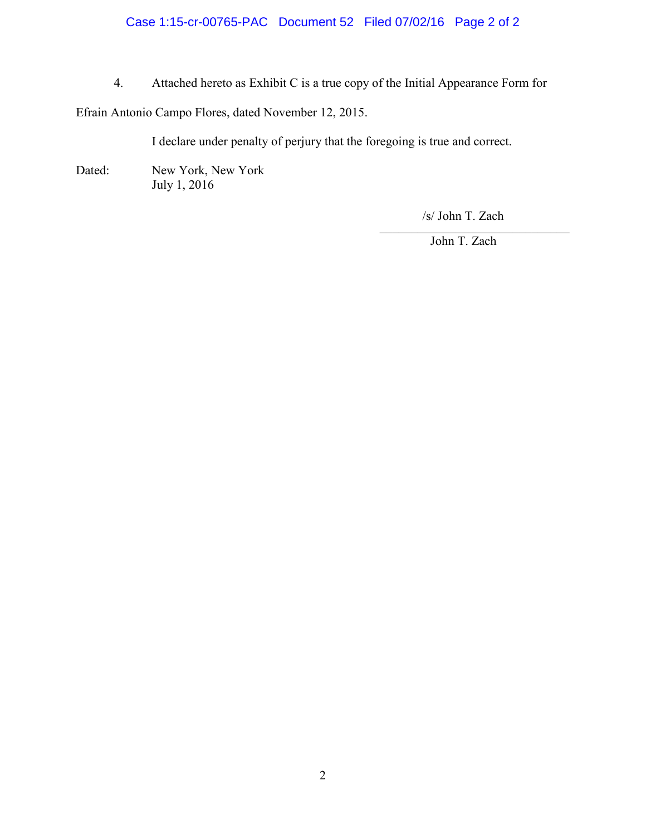### Case 1:15-cr-00765-PAC Document 52 Filed 07/02/16 Page 2 of 2

4. Attached hereto as Exhibit C is a true copy of the Initial Appearance Form for

Efrain Antonio Campo Flores, dated November 12, 2015.

I declare under penalty of perjury that the foregoing is true and correct.

Dated: New York, New York July 1, 2016

> $\overline{\mathcal{L}}$  , and the set of the set of the set of the set of the set of the set of the set of the set of the set of the set of the set of the set of the set of the set of the set of the set of the set of the set of the s /s/ John T. Zach

John T. Zach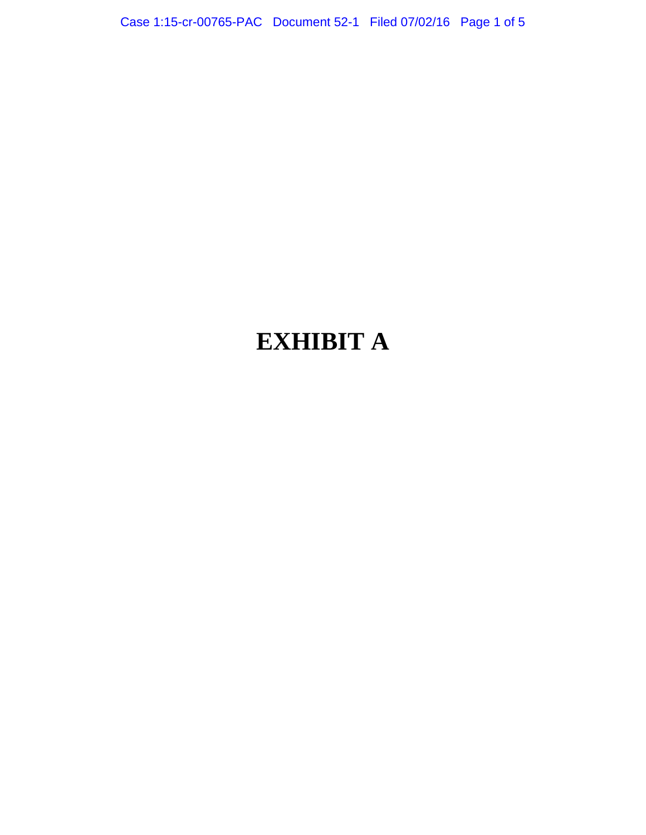Case 1:15-cr-00765-PAC Document 52-1 Filed 07/02/16 Page 1 of 5

# **EXHIBIT A**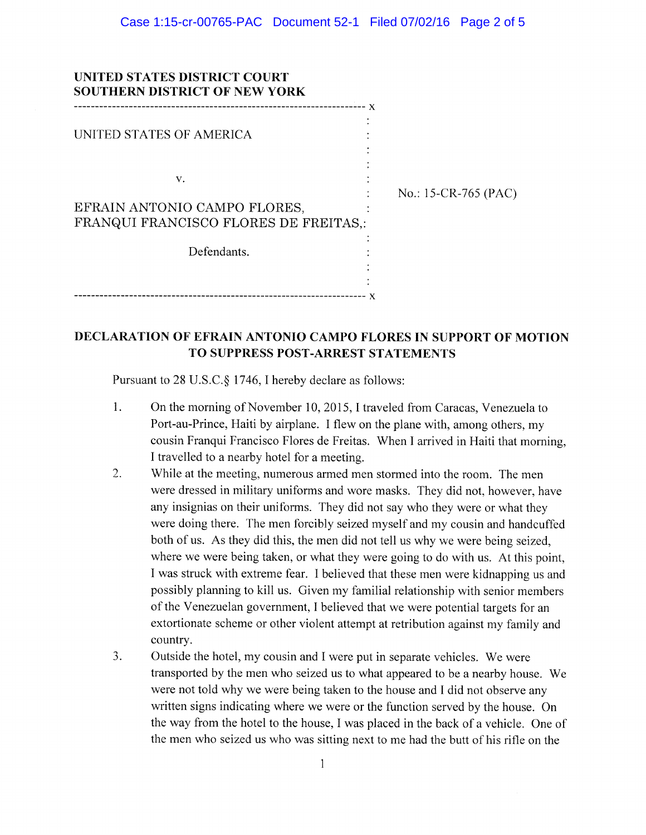| UNITED STATES DISTRICT COURT<br><b>SOUTHERN DISTRICT OF NEW YORK</b>        |                      |  |
|-----------------------------------------------------------------------------|----------------------|--|
| UNITED STATES OF AMERICA                                                    |                      |  |
| V.<br>EFRAIN ANTONIO CAMPO FLORES,<br>FRANQUI FRANCISCO FLORES DE FREITAS.: | No.: 15-CR-765 (PAC) |  |
| Defendants.                                                                 |                      |  |
|                                                                             |                      |  |

### DECLARATION OF EFRAIN ANTONIO CAMPO FLORES IN SUPPORT OF MOTION TO SUPPRESS POST-ARREST STATEMENTS

Pursuant to 28 U.S.C. § 1746, I hereby declare as follows:

- $1.$ On the morning of November 10, 2015, I traveled from Caracas, Venezuela to Port-au-Prince, Haiti by airplane. I flew on the plane with, among others, my cousin Franqui Francisco Flores de Freitas. When I arrived in Haiti that morning, I travelled to a nearby hotel for a meeting.
- $2.$ While at the meeting, numerous armed men stormed into the room. The men were dressed in military uniforms and wore masks. They did not, however, have any insignias on their uniforms. They did not say who they were or what they were doing there. The men forcibly seized myself and my cousin and handcuffed both of us. As they did this, the men did not tell us why we were being seized, where we were being taken, or what they were going to do with us. At this point, I was struck with extreme fear. I believed that these men were kidnapping us and possibly planning to kill us. Given my familial relationship with senior members of the Venezuelan government, I believed that we were potential targets for an extortionate scheme or other violent attempt at retribution against my family and country.
- $3.$ Outside the hotel, my cousin and I were put in separate vehicles. We were transported by the men who seized us to what appeared to be a nearby house. We were not told why we were being taken to the house and I did not observe any written signs indicating where we were or the function served by the house. On the way from the hotel to the house, I was placed in the back of a vehicle. One of the men who seized us who was sitting next to me had the butt of his rifle on the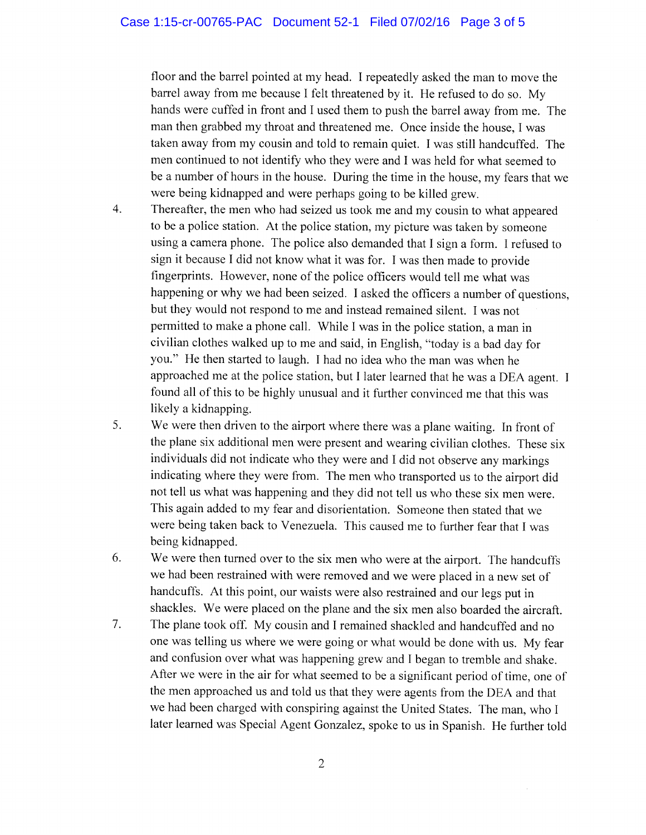#### Case 1:15-cr-00765-PAC Document 52-1 Filed 07/02/16 Page 3 of 5

floor and the barrel pointed at my head. I repeatedly asked the man to move the barrel away from me because I felt threatened by it. He refused to do so. My hands were cuffed in front and I used them to push the barrel away from me. The man then grabbed my throat and threatened me. Once inside the house, I was taken away from my cousin and told to remain quiet. I was still handcuffed. The men continued to not identify who they were and I was held for what seemed to be a number of hours in the house. During the time in the house, my fears that we were being kidnapped and were perhaps going to be killed grew.

- Thereafter, the men who had seized us took me and my cousin to what appeared  $\overline{4}$ . to be a police station. At the police station, my picture was taken by someone using a camera phone. The police also demanded that I sign a form. I refused to sign it because I did not know what it was for. I was then made to provide fingerprints. However, none of the police officers would tell me what was happening or why we had been seized. I asked the officers a number of questions, but they would not respond to me and instead remained silent. I was not permitted to make a phone call. While I was in the police station, a man in civilian clothes walked up to me and said, in English, "today is a bad day for you." He then started to laugh. I had no idea who the man was when he approached me at the police station, but I later learned that he was a DEA agent. I found all of this to be highly unusual and it further convinced me that this was likely a kidnapping.
- $5<sub>1</sub>$ We were then driven to the airport where there was a plane waiting. In front of the plane six additional men were present and wearing civilian clothes. These six individuals did not indicate who they were and I did not observe any markings indicating where they were from. The men who transported us to the airport did not tell us what was happening and they did not tell us who these six men were. This again added to my fear and disorientation. Someone then stated that we were being taken back to Venezuela. This caused me to further fear that I was being kidnapped.
- 6. We were then turned over to the six men who were at the airport. The handcuffs we had been restrained with were removed and we were placed in a new set of handcuffs. At this point, our waists were also restrained and our legs put in shackles. We were placed on the plane and the six men also boarded the aircraft.
- $7.$ The plane took off. My cousin and I remained shackled and handcuffed and no one was telling us where we were going or what would be done with us. My fear and confusion over what was happening grew and I began to tremble and shake. After we were in the air for what seemed to be a significant period of time, one of the men approached us and told us that they were agents from the DEA and that we had been charged with conspiring against the United States. The man, who I later learned was Special Agent Gonzalez, spoke to us in Spanish. He further told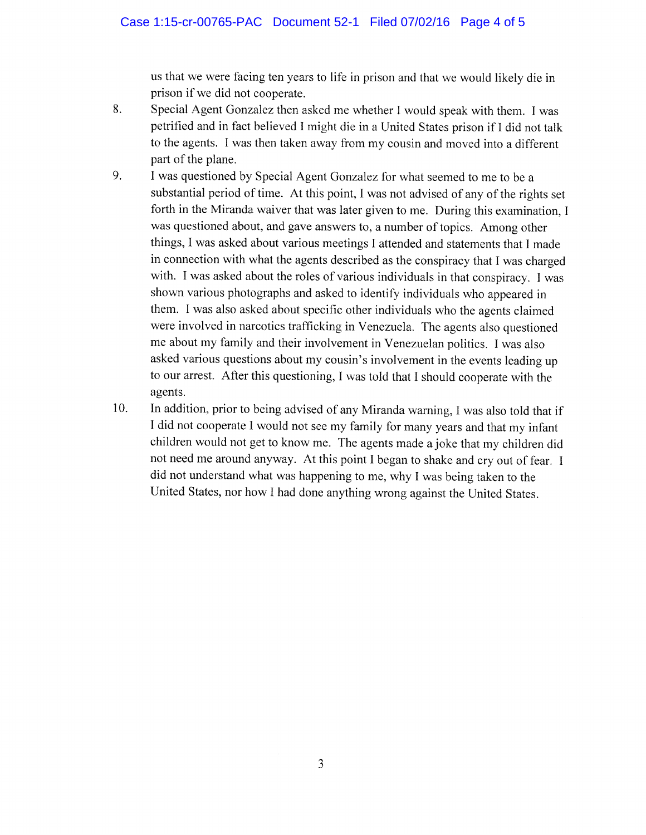us that we were facing ten years to life in prison and that we would likely die in prison if we did not cooperate.

- Special Agent Gonzalez then asked me whether I would speak with them. I was 8. petrified and in fact believed I might die in a United States prison if I did not talk to the agents. I was then taken away from my cousin and moved into a different part of the plane.
- 9. I was questioned by Special Agent Gonzalez for what seemed to me to be a substantial period of time. At this point, I was not advised of any of the rights set forth in the Miranda waiver that was later given to me. During this examination, I was questioned about, and gave answers to, a number of topics. Among other things, I was asked about various meetings I attended and statements that I made in connection with what the agents described as the conspiracy that I was charged with. I was asked about the roles of various individuals in that conspiracy. I was shown various photographs and asked to identify individuals who appeared in them. I was also asked about specific other individuals who the agents claimed were involved in narcotics trafficking in Venezuela. The agents also questioned me about my family and their involvement in Venezuelan politics. I was also asked various questions about my cousin's involvement in the events leading up to our arrest. After this questioning, I was told that I should cooperate with the agents.
- In addition, prior to being advised of any Miranda warning, I was also told that if 10. I did not cooperate I would not see my family for many years and that my infant children would not get to know me. The agents made a joke that my children did not need me around anyway. At this point I began to shake and cry out of fear. I did not understand what was happening to me, why I was being taken to the United States, nor how I had done anything wrong against the United States.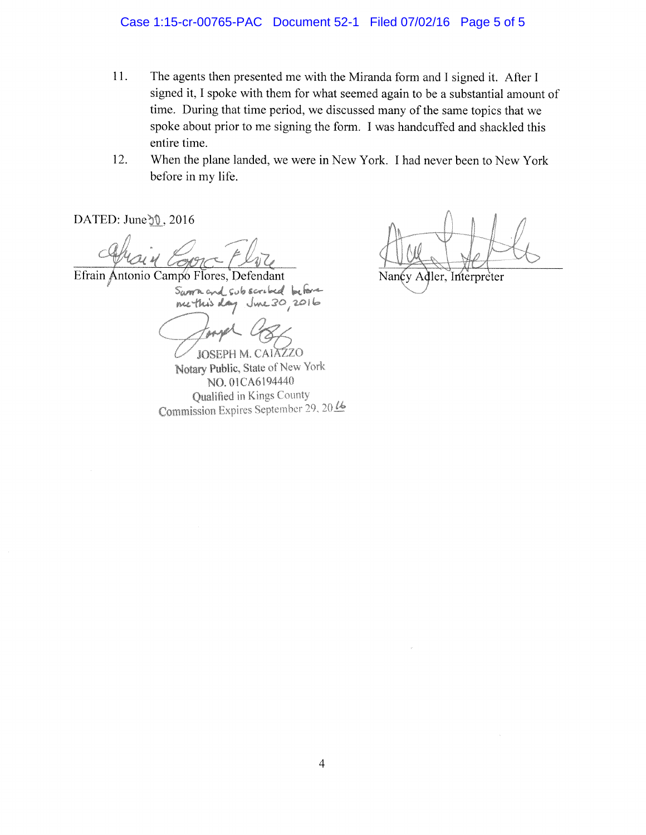#### Case 1:15-cr-00765-PAC Document 52-1 Filed 07/02/16 Page 5 of 5

- 11. The agents then presented me with the Miranda form and I signed it. After I signed it, I spoke with them for what seemed again to be a substantial amount of time. During that time period, we discussed many of the same topics that we spoke about prior to me signing the form. I was handcuffed and shackled this entire time.
- 12. When the plane landed, we were in New York. I had never been to New York before in my life.

DATED: June 30, 2016

Efrain Antonio Campo Flores, Defendant Sworn and subscribed before  $Jw230,2016$ ne this day

**JOSEPH M. CAIAZZO** Notary Public, State of New York NO. 01CA6194440 Qualified in Kings County Commission Expires September 29, 2016

Nancy Adler, Interpreter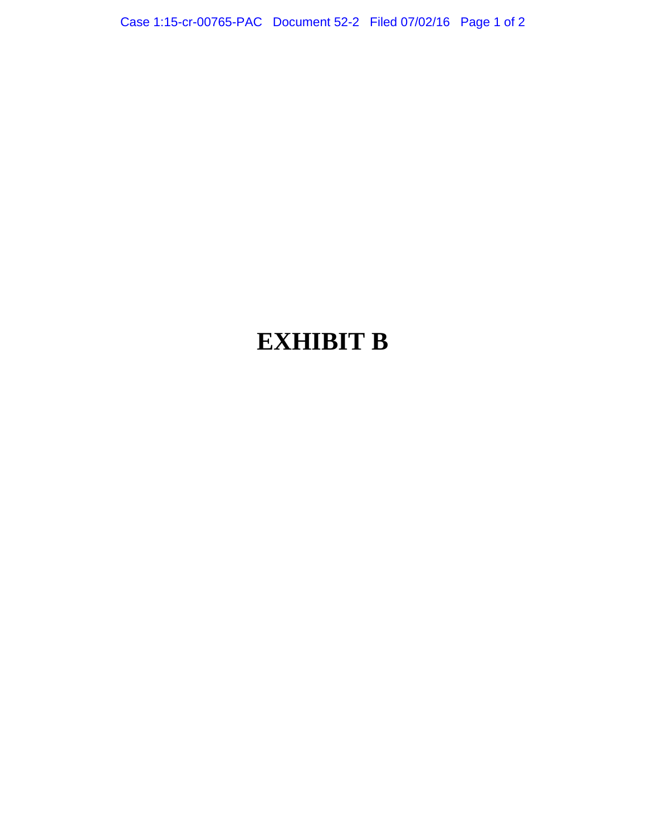Case 1:15-cr-00765-PAC Document 52-2 Filed 07/02/16 Page 1 of 2

# **EXHIBIT B**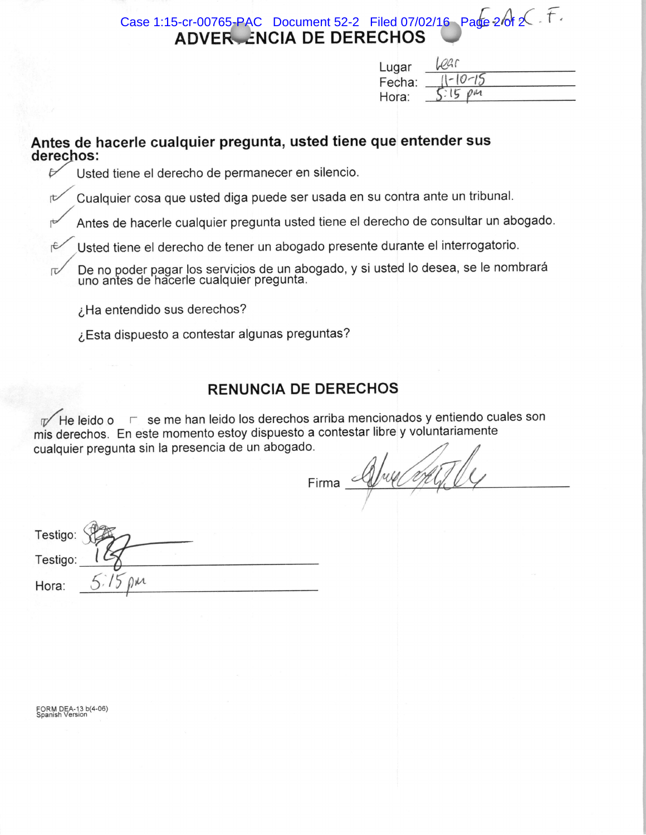Case 1:15-cr-00765-PAC Document 52-2 Filed 07/02/16 Page  $2\theta$   $2\sqrt{}$ . **ADVER ENCIA DE DERECHOS** 

| Lugar  |                |  |
|--------|----------------|--|
| Fecha: |                |  |
| Hora:  | $\Omega_{\mu}$ |  |

## Antes de hacerle cualquier pregunta, usted tiene que entender sus derechos:

Usted tiene el derecho de permanecer en silencio.

Cualquier cosa que usted diga puede ser usada en su contra ante un tribunal.

Antes de hacerle cualquier pregunta usted tiene el derecho de consultar un abogado.

Usted tiene el derecho de tener un abogado presente durante el interrogatorio.

De no poder pagar los servicios de un abogado, y si usted lo desea, se le nombrará<br>uno antes de hacerle cualquier pregunta.

¿Ha entendido sus derechos?

¿Esta dispuesto a contestar algunas preguntas?

## **RENUNCIA DE DERECHOS**

The leido o F se me han leido los derechos arriba mencionados y entiendo cuales son mis derechos. En este momento estoy dispuesto a contestar libre y voluntariamente cualquier pregunta sin la presencia de un abogado.

Firma Alfred Ofly

| Testigo: |  |
|----------|--|
| Testigo: |  |
| Hora:    |  |

FORM DEA-13 b(4-06)<br>Spanish Version

 $\overline{\nu}$ 

rt

rC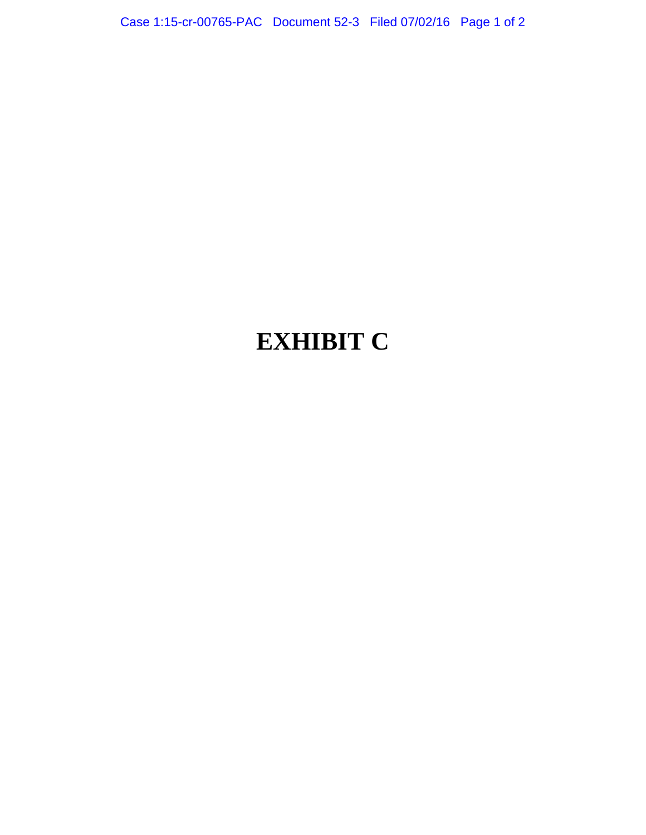Case 1:15-cr-00765-PAC Document 52-3 Filed 07/02/16 Page 1 of 2

# **EXHIBIT C**